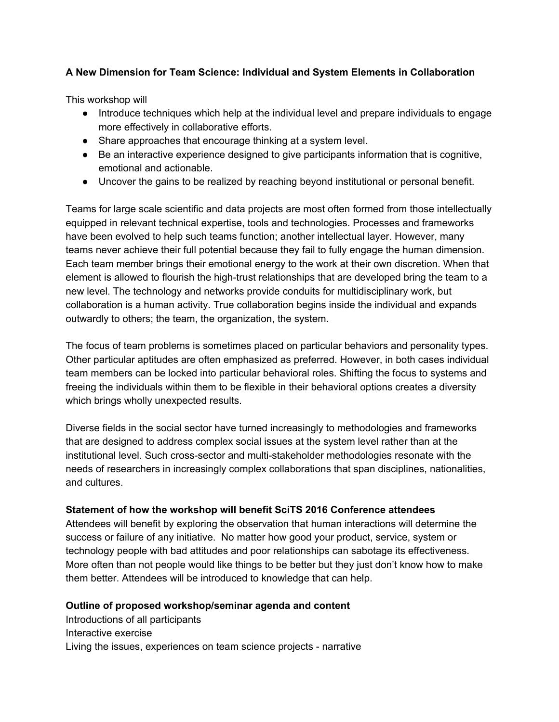# **A New Dimension for Team Science: Individual and System Elements in Collaboration**

This workshop will

- Introduce techniques which help at the individual level and prepare individuals to engage more effectively in collaborative efforts.
- Share approaches that encourage thinking at a system level.
- Be an interactive experience designed to give participants information that is cognitive, emotional and actionable.
- Uncover the gains to be realized by reaching beyond institutional or personal benefit.

Teams for large scale scientific and data projects are most often formed from those intellectually equipped in relevant technical expertise, tools and technologies. Processes and frameworks have been evolved to help such teams function; another intellectual layer. However, many teams never achieve their full potential because they fail to fully engage the human dimension. Each team member brings their emotional energy to the work at their own discretion. When that element is allowed to flourish the high-trust relationships that are developed bring the team to a new level. The technology and networks provide conduits for multidisciplinary work, but collaboration is a human activity. True collaboration begins inside the individual and expands outwardly to others; the team, the organization, the system.

The focus of team problems is sometimes placed on particular behaviors and personality types. Other particular aptitudes are often emphasized as preferred. However, in both cases individual team members can be locked into particular behavioral roles. Shifting the focus to systems and freeing the individuals within them to be flexible in their behavioral options creates a diversity which brings wholly unexpected results.

Diverse fields in the social sector have turned increasingly to methodologies and frameworks that are designed to address complex social issues at the system level rather than at the institutional level. Such cross-sector and multi-stakeholder methodologies resonate with the needs of researchers in increasingly complex collaborations that span disciplines, nationalities, and cultures.

# **Statement of how the workshop will benefit SciTS 2016 Conference attendees**

Attendees will benefit by exploring the observation that human interactions will determine the success or failure of any initiative. No matter how good your product, service, system or technology people with bad attitudes and poor relationships can sabotage its effectiveness. More often than not people would like things to be better but they just don't know how to make them better. Attendees will be introduced to knowledge that can help.

# **Outline of proposed workshop/seminar agenda and content**

Introductions of all participants Interactive exercise Living the issues, experiences on team science projects - narrative